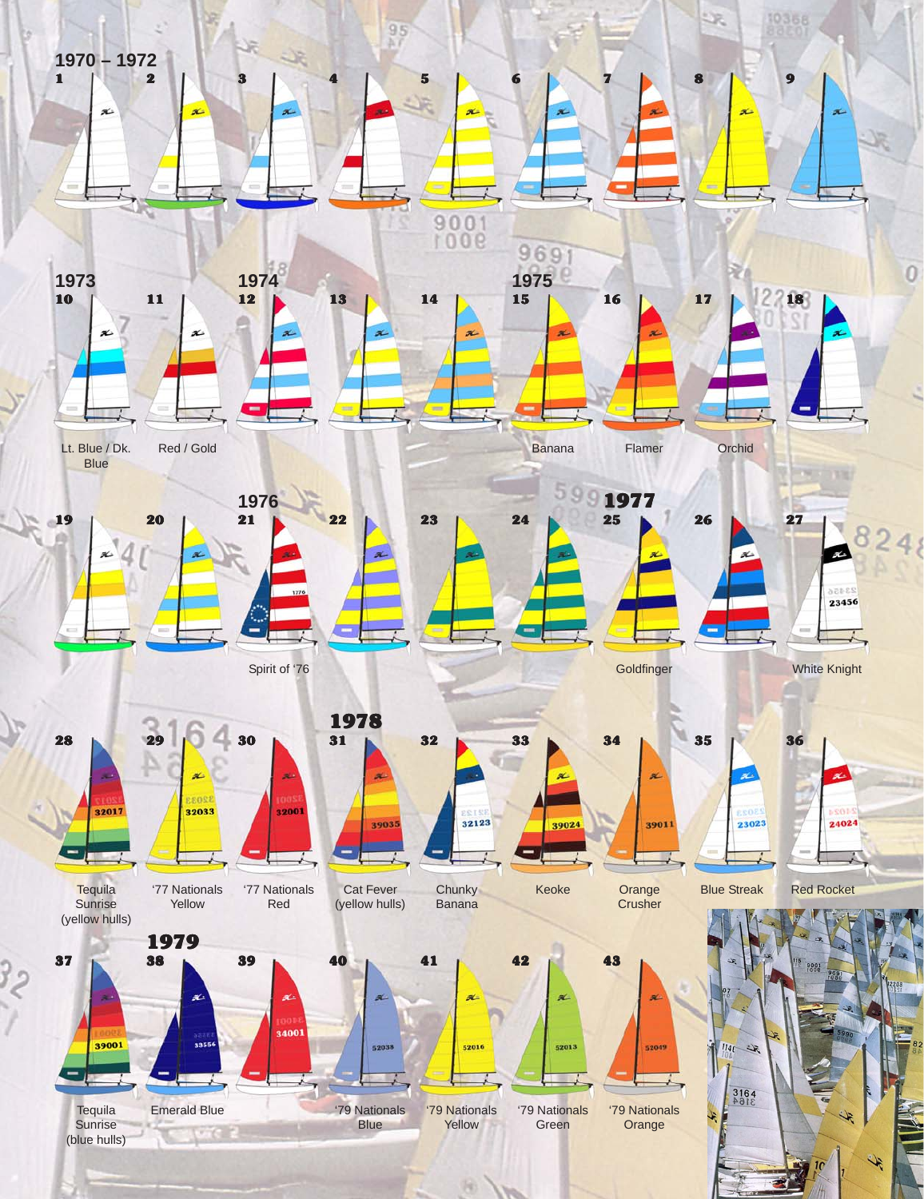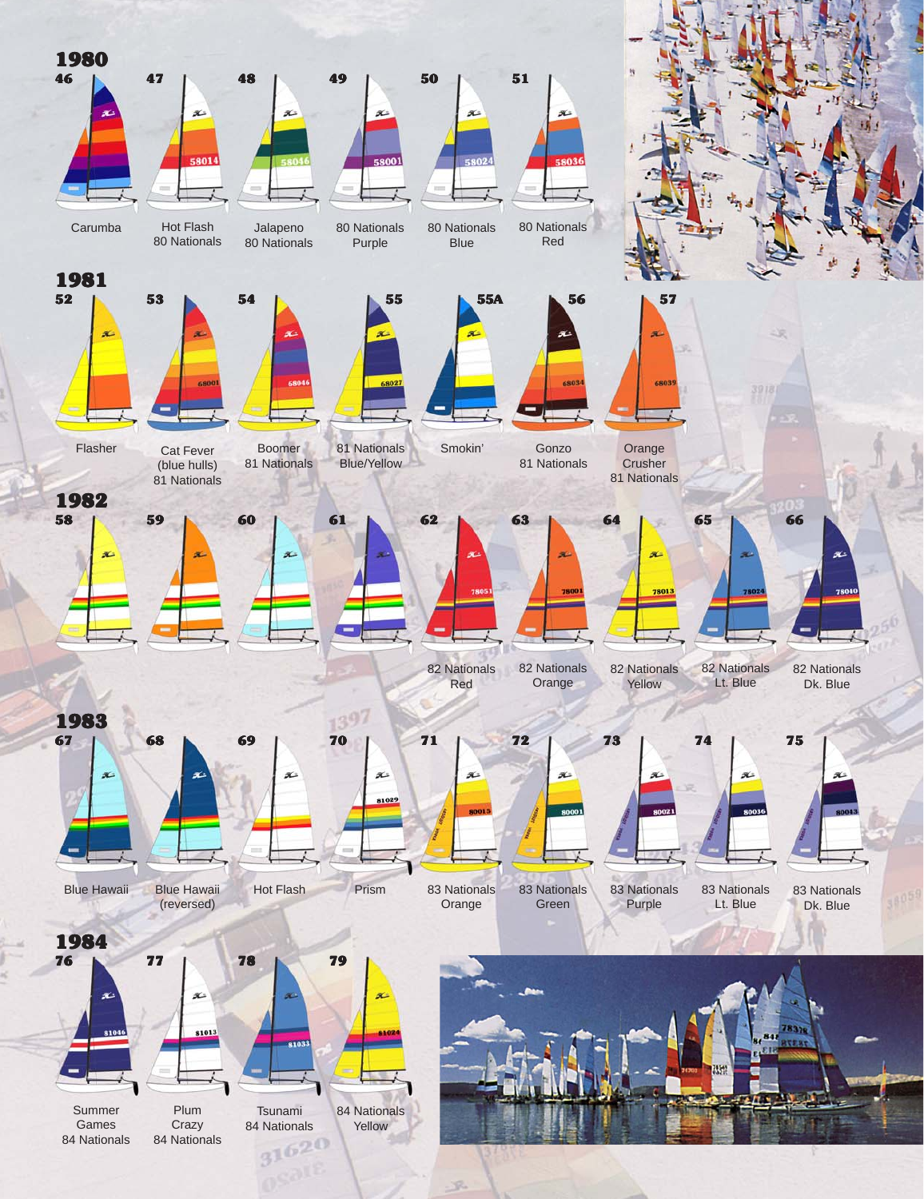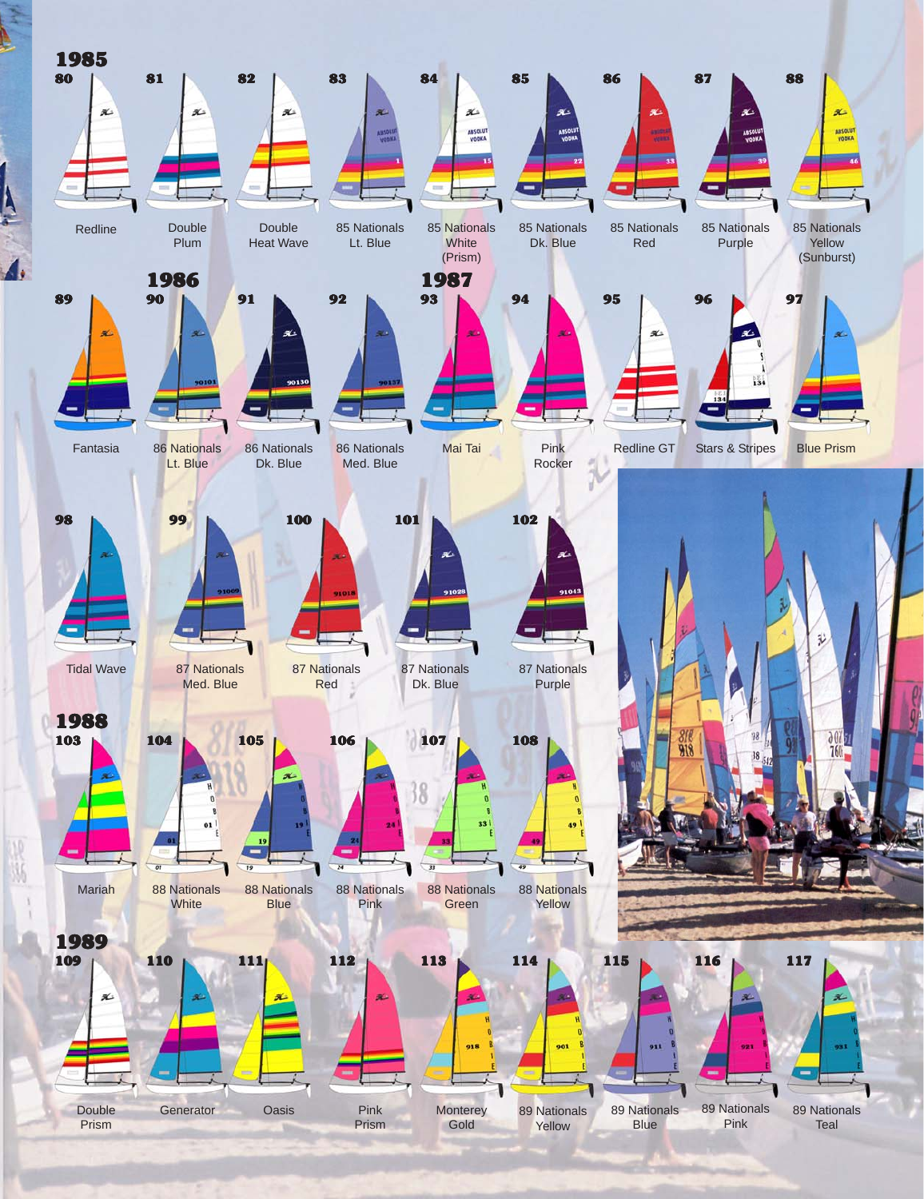